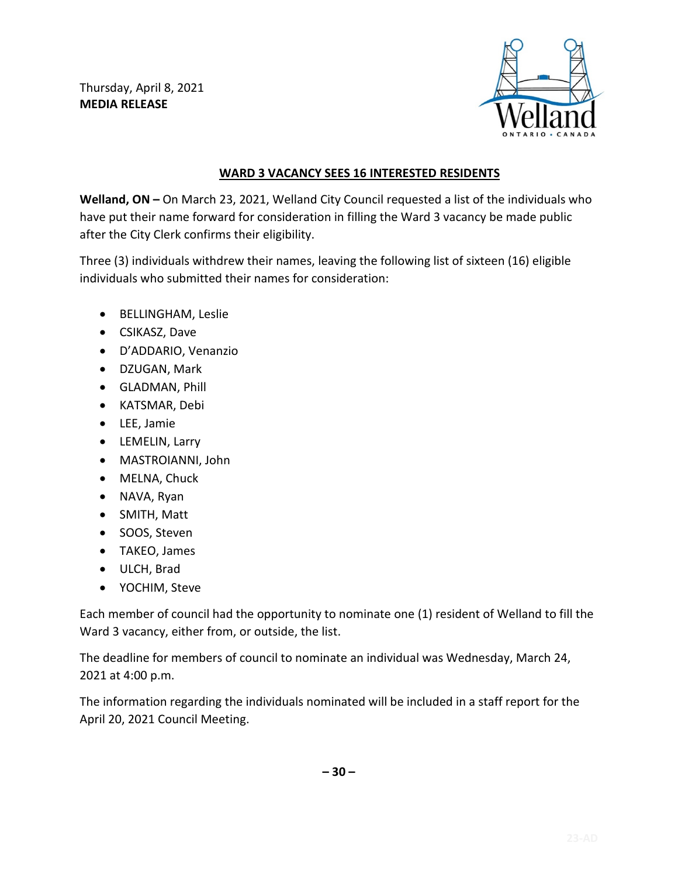Thursday, April 8, 2021 **MEDIA RELEASE**



## **WARD 3 VACANCY SEES 16 INTERESTED RESIDENTS**

**Welland, ON –** On March 23, 2021, Welland City Council requested a list of the individuals who have put their name forward for consideration in filling the Ward 3 vacancy be made public after the City Clerk confirms their eligibility.

Three (3) individuals withdrew their names, leaving the following list of sixteen (16) eligible individuals who submitted their names for consideration:

- BELLINGHAM, Leslie
- CSIKASZ, Dave
- D'ADDARIO, Venanzio
- DZUGAN, Mark
- GLADMAN, Phill
- KATSMAR, Debi
- LEE, Jamie
- LEMELIN, Larry
- MASTROIANNI, John
- MELNA, Chuck
- NAVA, Ryan
- SMITH, Matt
- SOOS, Steven
- TAKEO, James
- ULCH, Brad
- YOCHIM, Steve

Each member of council had the opportunity to nominate one (1) resident of Welland to fill the Ward 3 vacancy, either from, or outside, the list.

The deadline for members of council to nominate an individual was Wednesday, March 24, 2021 at 4:00 p.m.

The information regarding the individuals nominated will be included in a staff report for the April 20, 2021 Council Meeting.

**– 30 –**